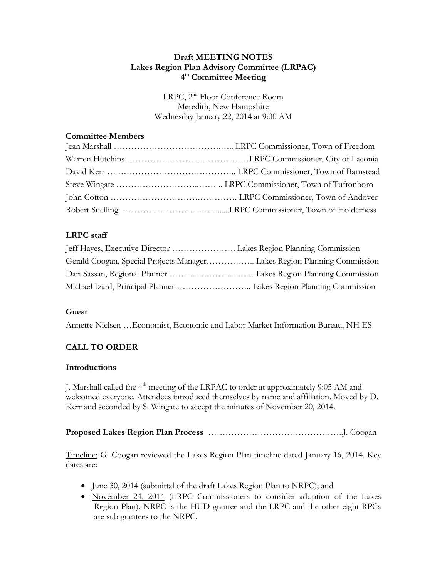## **Draft MEETING NOTES Lakes Region Plan Advisory Committee (LRPAC) 4 th Committee Meeting**

LRPC, 2nd Floor Conference Room Meredith, New Hampshire Wednesday January 22, 2014 at 9:00 AM

## **Committee Members**

# **LRPC staff**

| Jeff Hayes, Executive Director  Lakes Region Planning Commission         |  |
|--------------------------------------------------------------------------|--|
| Gerald Coogan, Special Projects Manager Lakes Region Planning Commission |  |
|                                                                          |  |
|                                                                          |  |

### **Guest**

Annette Nielsen …Economist, Economic and Labor Market Information Bureau, NH ES

## **CALL TO ORDER**

### **Introductions**

J. Marshall called the  $4<sup>th</sup>$  meeting of the LRPAC to order at approximately 9:05 AM and welcomed everyone. Attendees introduced themselves by name and affiliation. Moved by D. Kerr and seconded by S. Wingate to accept the minutes of November 20, 2014.

## **Proposed Lakes Region Plan Process** ………………………………………..J. Coogan

Timeline: G. Coogan reviewed the Lakes Region Plan timeline dated January 16, 2014. Key dates are:

- <u>June 30, 2014</u> (submittal of the draft Lakes Region Plan to NRPC); and
- November 24, 2014 (LRPC Commissioners to consider adoption of the Lakes Region Plan). NRPC is the HUD grantee and the LRPC and the other eight RPCs are sub grantees to the NRPC.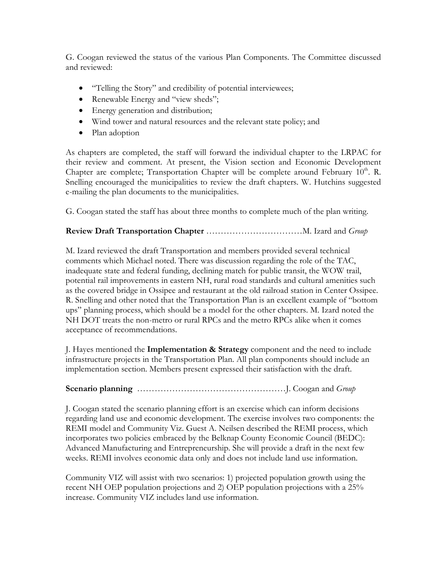G. Coogan reviewed the status of the various Plan Components. The Committee discussed and reviewed:

- "Telling the Story" and credibility of potential interviewees;
- Renewable Energy and "view sheds";
- Energy generation and distribution;
- Wind tower and natural resources and the relevant state policy; and
- Plan adoption

As chapters are completed, the staff will forward the individual chapter to the LRPAC for their review and comment. At present, the Vision section and Economic Development Chapter are complete; Transportation Chapter will be complete around February  $10^{th}$ . R. Snelling encouraged the municipalities to review the draft chapters. W. Hutchins suggested e-mailing the plan documents to the municipalities.

G. Coogan stated the staff has about three months to complete much of the plan writing.

## **Review Draft Transportation Chapter** ……………………………M. Izard and *Group*

M. Izard reviewed the draft Transportation and members provided several technical comments which Michael noted. There was discussion regarding the role of the TAC, inadequate state and federal funding, declining match for public transit, the WOW trail, potential rail improvements in eastern NH, rural road standards and cultural amenities such as the covered bridge in Ossipee and restaurant at the old railroad station in Center Ossipee. R. Snelling and other noted that the Transportation Plan is an excellent example of "bottom ups" planning process, which should be a model for the other chapters. M. Izard noted the NH DOT treats the non-metro or rural RPCs and the metro RPCs alike when it comes acceptance of recommendations.

J. Hayes mentioned the **Implementation & Strategy** component and the need to include infrastructure projects in the Transportation Plan. All plan components should include an implementation section. Members present expressed their satisfaction with the draft.

### **Scenario planning** ……………………………………………J. Coogan and *Group*

J. Coogan stated the scenario planning effort is an exercise which can inform decisions regarding land use and economic development. The exercise involves two components: the REMI model and Community Viz. Guest A. Neilsen described the REMI process, which incorporates two policies embraced by the Belknap County Economic Council (BEDC): Advanced Manufacturing and Entrepreneurship. She will provide a draft in the next few weeks. REMI involves economic data only and does not include land use information.

Community VIZ will assist with two scenarios: 1) projected population growth using the recent NH OEP population projections and 2) OEP population projections with a 25% increase. Community VIZ includes land use information.